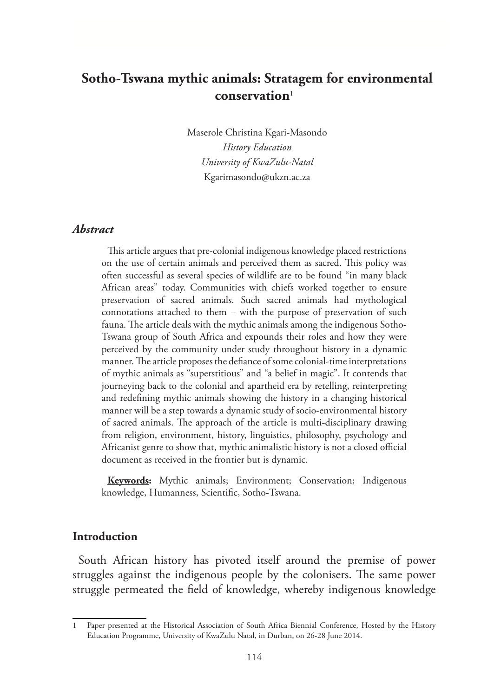# **Sotho-Tswana mythic animals: Stratagem for environmental conservation**<sup>1</sup>

Maserole Christina Kgari-Masondo *History Education University of KwaZulu-Natal* Kgarimasondo@ukzn.ac.za

#### *Abstract*

This article argues that pre-colonial indigenous knowledge placed restrictions on the use of certain animals and perceived them as sacred. This policy was often successful as several species of wildlife are to be found "in many black African areas" today. Communities with chiefs worked together to ensure preservation of sacred animals. Such sacred animals had mythological connotations attached to them – with the purpose of preservation of such fauna. The article deals with the mythic animals among the indigenous Sotho-Tswana group of South Africa and expounds their roles and how they were perceived by the community under study throughout history in a dynamic manner. The article proposes the defiance of some colonial-time interpretations of mythic animals as "superstitious" and "a belief in magic". It contends that journeying back to the colonial and apartheid era by retelling, reinterpreting and redefining mythic animals showing the history in a changing historical manner will be a step towards a dynamic study of socio-environmental history of sacred animals. The approach of the article is multi-disciplinary drawing from religion, environment, history, linguistics, philosophy, psychology and Africanist genre to show that, mythic animalistic history is not a closed official document as received in the frontier but is dynamic.

**Keywords:** Mythic animals; Environment; Conservation; Indigenous knowledge, Humanness, Scientific, Sotho-Tswana.

# **Introduction**

South African history has pivoted itself around the premise of power struggles against the indigenous people by the colonisers. The same power struggle permeated the field of knowledge, whereby indigenous knowledge

Paper presented at the Historical Association of South Africa Biennial Conference, Hosted by the History Education Programme, University of KwaZulu Natal, in Durban, on 26-28 June 2014.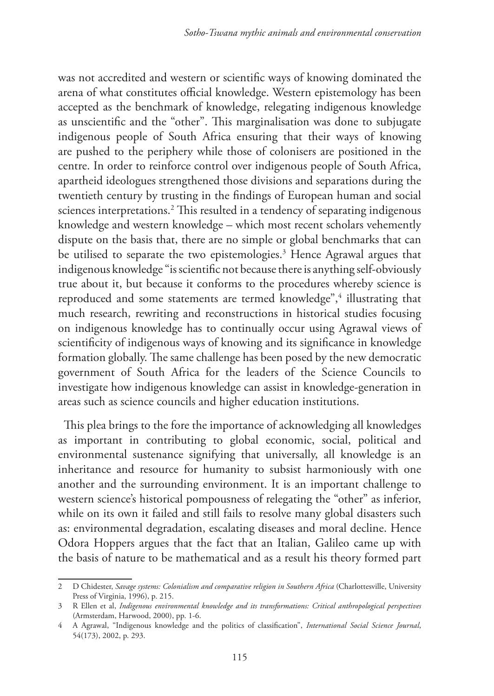was not accredited and western or scientific ways of knowing dominated the arena of what constitutes official knowledge. Western epistemology has been accepted as the benchmark of knowledge, relegating indigenous knowledge as unscientific and the "other". This marginalisation was done to subjugate indigenous people of South Africa ensuring that their ways of knowing are pushed to the periphery while those of colonisers are positioned in the centre. In order to reinforce control over indigenous people of South Africa, apartheid ideologues strengthened those divisions and separations during the twentieth century by trusting in the findings of European human and social sciences interpretations.2 This resulted in a tendency of separating indigenous knowledge and western knowledge – which most recent scholars vehemently dispute on the basis that, there are no simple or global benchmarks that can be utilised to separate the two epistemologies.3 Hence Agrawal argues that indigenous knowledge "is scientific not because there is anything self-obviously true about it, but because it conforms to the procedures whereby science is reproduced and some statements are termed knowledge",<sup>4</sup> illustrating that much research, rewriting and reconstructions in historical studies focusing on indigenous knowledge has to continually occur using Agrawal views of scientificity of indigenous ways of knowing and its significance in knowledge formation globally. The same challenge has been posed by the new democratic government of South Africa for the leaders of the Science Councils to investigate how indigenous knowledge can assist in knowledge-generation in areas such as science councils and higher education institutions.

This plea brings to the fore the importance of acknowledging all knowledges as important in contributing to global economic, social, political and environmental sustenance signifying that universally, all knowledge is an inheritance and resource for humanity to subsist harmoniously with one another and the surrounding environment. It is an important challenge to western science's historical pompousness of relegating the "other" as inferior, while on its own it failed and still fails to resolve many global disasters such as: environmental degradation, escalating diseases and moral decline. Hence Odora Hoppers argues that the fact that an Italian, Galileo came up with the basis of nature to be mathematical and as a result his theory formed part

<sup>2</sup> D Chidester, *Savage systems: Colonialism and comparative religion in Southern Africa* (Charlottesville, University Press of Virginia, 1996), p. 215.

<sup>3</sup> R Ellen et al, *Indigenous environmental knowledge and its transformations: Critical anthropological perspectives*  (Armsterdam, Harwood, 2000), pp. 1-6.

<sup>4</sup> A Agrawal, "Indigenous knowledge and the politics of classification", *International Social Science Journal*, 54(173), 2002, p. 293.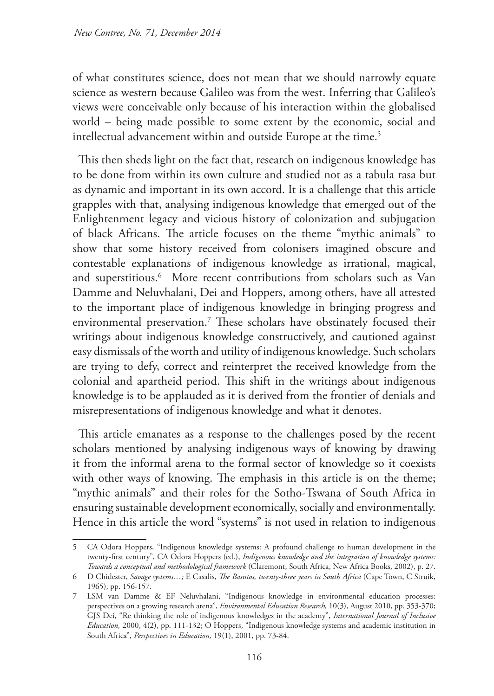of what constitutes science, does not mean that we should narrowly equate science as western because Galileo was from the west. Inferring that Galileo's views were conceivable only because of his interaction within the globalised world – being made possible to some extent by the economic, social and intellectual advancement within and outside Europe at the time.<sup>5</sup>

This then sheds light on the fact that, research on indigenous knowledge has to be done from within its own culture and studied not as a tabula rasa but as dynamic and important in its own accord. It is a challenge that this article grapples with that, analysing indigenous knowledge that emerged out of the Enlightenment legacy and vicious history of colonization and subjugation of black Africans. The article focuses on the theme "mythic animals" to show that some history received from colonisers imagined obscure and contestable explanations of indigenous knowledge as irrational, magical, and superstitious.6 More recent contributions from scholars such as Van Damme and Neluvhalani, Dei and Hoppers, among others, have all attested to the important place of indigenous knowledge in bringing progress and environmental preservation.7 These scholars have obstinately focused their writings about indigenous knowledge constructively, and cautioned against easy dismissals of the worth and utility of indigenous knowledge. Such scholars are trying to defy, correct and reinterpret the received knowledge from the colonial and apartheid period. This shift in the writings about indigenous knowledge is to be applauded as it is derived from the frontier of denials and misrepresentations of indigenous knowledge and what it denotes.

This article emanates as a response to the challenges posed by the recent scholars mentioned by analysing indigenous ways of knowing by drawing it from the informal arena to the formal sector of knowledge so it coexists with other ways of knowing. The emphasis in this article is on the theme; "mythic animals" and their roles for the Sotho-Tswana of South Africa in ensuring sustainable development economically, socially and environmentally. Hence in this article the word "systems" is not used in relation to indigenous

<sup>5</sup> CA Odora Hoppers, "Indigenous knowledge systems: A profound challenge to human development in the twenty-first century", CA Odora Hoppers (ed.), *Indigenous knowledge and the integration of knowledge systems: Towards a conceptual and methodological framework* (Claremont, South Africa, New Africa Books, 2002), p. 27.

<sup>6</sup> D Chidester, *Savage systems…;* E Casalis, *The Basutos, twenty-three years in South Africa* (Cape Town, C Struik, 1965), pp. 156-157.

<sup>7</sup> LSM van Damme & EF Neluvhalani, "Indigenous knowledge in environmental education processes: perspectives on a growing research arena", *Environmental Education Research,* 10(3), August 2010, pp. 353-370; GJS Dei, "Re thinking the role of indigenous knowledges in the academy", *International Journal of Inclusive Education,* 2000, 4(2), pp. 111-132; O Hoppers, "Indigenous knowledge systems and academic institution in South Africa", *Perspectives in Education,* 19(1), 2001, pp. 73-84.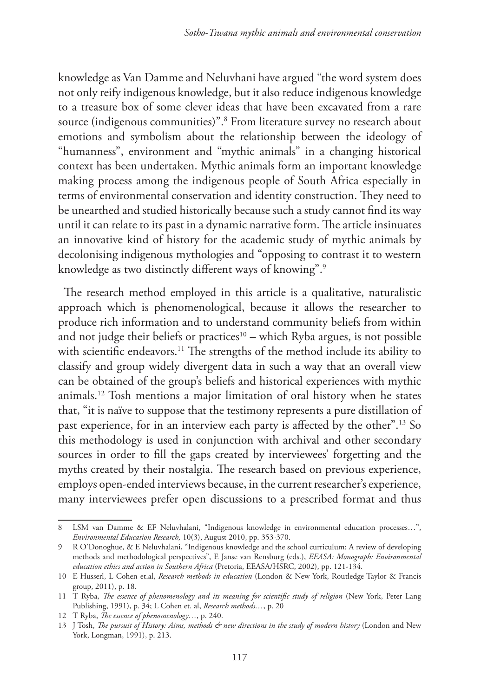knowledge as Van Damme and Neluvhani have argued "the word system does not only reify indigenous knowledge, but it also reduce indigenous knowledge to a treasure box of some clever ideas that have been excavated from a rare source (indigenous communities)".8 From literature survey no research about emotions and symbolism about the relationship between the ideology of "humanness", environment and "mythic animals" in a changing historical context has been undertaken. Mythic animals form an important knowledge making process among the indigenous people of South Africa especially in terms of environmental conservation and identity construction. They need to be unearthed and studied historically because such a study cannot find its way until it can relate to its past in a dynamic narrative form. The article insinuates an innovative kind of history for the academic study of mythic animals by decolonising indigenous mythologies and "opposing to contrast it to western knowledge as two distinctly different ways of knowing".9

The research method employed in this article is a qualitative, naturalistic approach which is phenomenological, because it allows the researcher to produce rich information and to understand community beliefs from within and not judge their beliefs or practices $10 -$  which Ryba argues, is not possible with scientific endeavors.<sup>11</sup> The strengths of the method include its ability to classify and group widely divergent data in such a way that an overall view can be obtained of the group's beliefs and historical experiences with mythic animals.12 Tosh mentions a major limitation of oral history when he states that, "it is naïve to suppose that the testimony represents a pure distillation of past experience, for in an interview each party is affected by the other".13 So this methodology is used in conjunction with archival and other secondary sources in order to fill the gaps created by interviewees' forgetting and the myths created by their nostalgia. The research based on previous experience, employs open-ended interviews because, in the current researcher's experience, many interviewees prefer open discussions to a prescribed format and thus

<sup>8</sup> LSM van Damme & EF Neluvhalani, "Indigenous knowledge in environmental education processes…", *Environmental Education Research,* 10(3), August 2010, pp. 353-370.

<sup>9</sup> R O'Donoghue, & E Neluvhalani, "Indigenous knowledge and the school curriculum: A review of developing methods and methodological perspectives", E Janse van Rensburg (eds.), *EEASA: Monograph: Environmental education ethics and action in Southern Africa* (Pretoria, EEASA/HSRC, 2002), pp. 121-134.

<sup>10</sup> E Husserl, L Cohen et.al, *Research methods in education* (London & New York, Routledge Taylor & Francis group, 2011), p. 18.

<sup>11</sup> T Ryba, *The essence of phenomenology and its meaning for scientific study of religion* (New York, Peter Lang Publishing, 1991), p. 34; L Cohen et. al, *Research methods…*, p. 20

<sup>12</sup> T Ryba, *The essence of phenomenology…*, p. 240.

<sup>13</sup> J Tosh, *The pursuit of History: Aims, methods & new directions in the study of modern history* (London and New York, Longman, 1991), p. 213.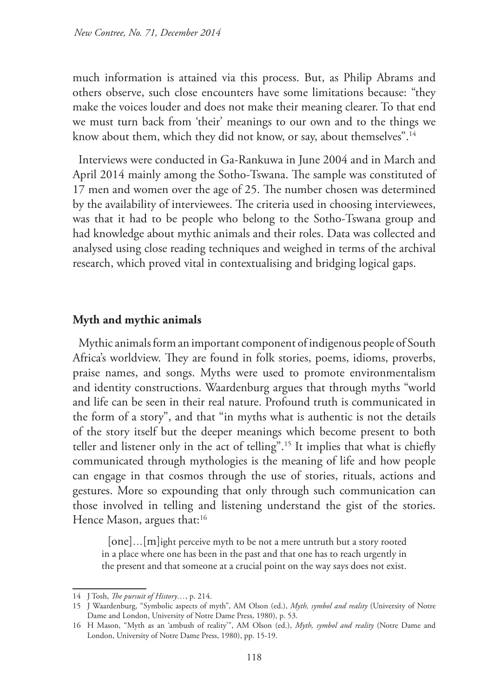much information is attained via this process. But, as Philip Abrams and others observe, such close encounters have some limitations because: "they make the voices louder and does not make their meaning clearer. To that end we must turn back from 'their' meanings to our own and to the things we know about them, which they did not know, or say, about themselves".<sup>14</sup>

Interviews were conducted in Ga-Rankuwa in June 2004 and in March and April 2014 mainly among the Sotho-Tswana. The sample was constituted of 17 men and women over the age of 25. The number chosen was determined by the availability of interviewees. The criteria used in choosing interviewees, was that it had to be people who belong to the Sotho-Tswana group and had knowledge about mythic animals and their roles. Data was collected and analysed using close reading techniques and weighed in terms of the archival research, which proved vital in contextualising and bridging logical gaps.

# **Myth and mythic animals**

Mythic animals form an important component of indigenous people of South Africa's worldview. They are found in folk stories, poems, idioms, proverbs, praise names, and songs. Myths were used to promote environmentalism and identity constructions. Waardenburg argues that through myths "world and life can be seen in their real nature. Profound truth is communicated in the form of a story", and that "in myths what is authentic is not the details of the story itself but the deeper meanings which become present to both teller and listener only in the act of telling".15 It implies that what is chiefly communicated through mythologies is the meaning of life and how people can engage in that cosmos through the use of stories, rituals, actions and gestures. More so expounding that only through such communication can those involved in telling and listening understand the gist of the stories. Hence Mason, argues that:<sup>16</sup>

[one]…[m]ight perceive myth to be not a mere untruth but a story rooted in a place where one has been in the past and that one has to reach urgently in the present and that someone at a crucial point on the way says does not exist.

<sup>14</sup> J Tosh, *The pursuit of History…*, p. 214.

<sup>15</sup> J Waardenburg, "Symbolic aspects of myth", AM Olson (ed.), *Myth, symbol and reality* (University of Notre Dame and London, University of Notre Dame Press, 1980), p. 53.

<sup>16</sup> H Mason, "Myth as an 'ambush of reality'", AM Olson (ed.), *Myth, symbol and reality* (Notre Dame and London, University of Notre Dame Press, 1980), pp. 15-19.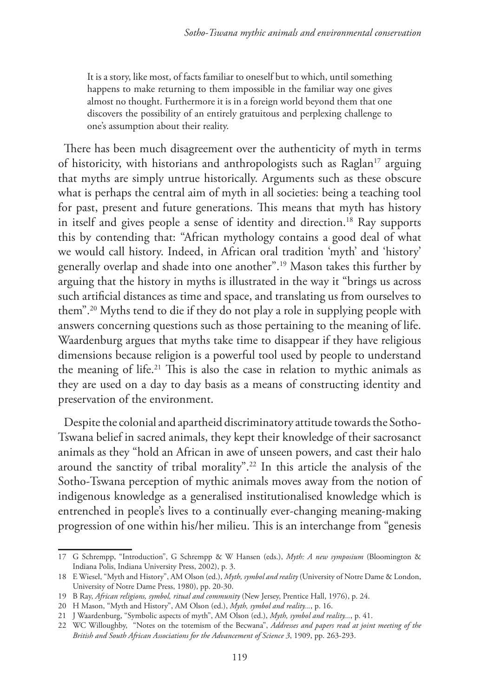It is a story, like most, of facts familiar to oneself but to which, until something happens to make returning to them impossible in the familiar way one gives almost no thought. Furthermore it is in a foreign world beyond them that one discovers the possibility of an entirely gratuitous and perplexing challenge to one's assumption about their reality.

There has been much disagreement over the authenticity of myth in terms of historicity, with historians and anthropologists such as Raglan<sup>17</sup> arguing that myths are simply untrue historically. Arguments such as these obscure what is perhaps the central aim of myth in all societies: being a teaching tool for past, present and future generations. This means that myth has history in itself and gives people a sense of identity and direction.18 Ray supports this by contending that: "African mythology contains a good deal of what we would call history. Indeed, in African oral tradition 'myth' and 'history' generally overlap and shade into one another".19 Mason takes this further by arguing that the history in myths is illustrated in the way it "brings us across such artificial distances as time and space, and translating us from ourselves to them".20 Myths tend to die if they do not play a role in supplying people with answers concerning questions such as those pertaining to the meaning of life. Waardenburg argues that myths take time to disappear if they have religious dimensions because religion is a powerful tool used by people to understand the meaning of life.21 This is also the case in relation to mythic animals as they are used on a day to day basis as a means of constructing identity and preservation of the environment.

Despite the colonial and apartheid discriminatory attitude towards the Sotho-Tswana belief in sacred animals, they kept their knowledge of their sacrosanct animals as they "hold an African in awe of unseen powers, and cast their halo around the sanctity of tribal morality".22 In this article the analysis of the Sotho-Tswana perception of mythic animals moves away from the notion of indigenous knowledge as a generalised institutionalised knowledge which is entrenched in people's lives to a continually ever-changing meaning-making progression of one within his/her milieu. This is an interchange from "genesis

<sup>17</sup> G Schrempp, "Introduction", G Schrempp & W Hansen (eds.), *Myth: A new symposium* (Bloomington & Indiana Polis, Indiana University Press, 2002), p. 3.

<sup>18</sup> E Wiesel, "Myth and History", AM Olson (ed.), *Myth, symbol and reality* (University of Notre Dame & London, University of Notre Dame Press, 1980), pp. 20-30.

<sup>19</sup> B Ray, *African religions, symbol, ritual and community* (New Jersey, Prentice Hall, 1976), p. 24.

<sup>20</sup> H Mason, "Myth and History", AM Olson (ed.), *Myth, symbol and reality...*, p. 16.

<sup>21</sup> J Waardenburg, "Symbolic aspects of myth", AM Olson (ed.), *Myth, symbol and reality...*, p. 41.

<sup>22</sup> WC Willoughby, "Notes on the totemism of the Becwana", *Addresses and papers read at joint meeting of the British and South African Associations for the Advancement of Science 3*, 1909, pp. 263-293.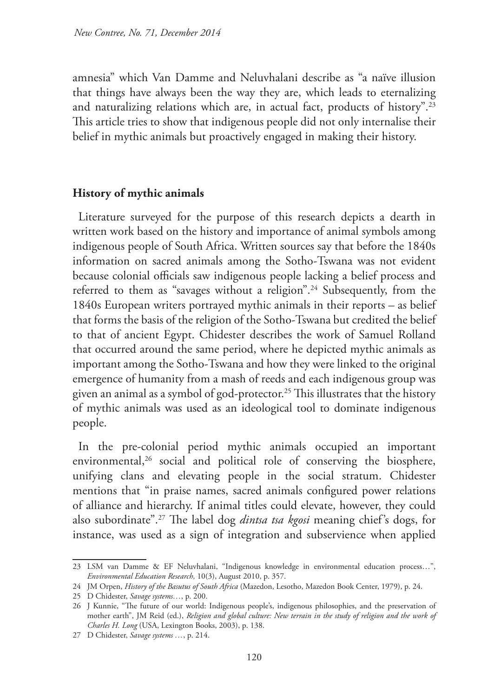amnesia" which Van Damme and Neluvhalani describe as "a naïve illusion that things have always been the way they are, which leads to eternalizing and naturalizing relations which are, in actual fact, products of history".<sup>23</sup> This article tries to show that indigenous people did not only internalise their belief in mythic animals but proactively engaged in making their history.

### **History of mythic animals**

Literature surveyed for the purpose of this research depicts a dearth in written work based on the history and importance of animal symbols among indigenous people of South Africa. Written sources say that before the 1840s information on sacred animals among the Sotho-Tswana was not evident because colonial officials saw indigenous people lacking a belief process and referred to them as "savages without a religion".<sup>24</sup> Subsequently, from the 1840s European writers portrayed mythic animals in their reports – as belief that forms the basis of the religion of the Sotho-Tswana but credited the belief to that of ancient Egypt. Chidester describes the work of Samuel Rolland that occurred around the same period, where he depicted mythic animals as important among the Sotho-Tswana and how they were linked to the original emergence of humanity from a mash of reeds and each indigenous group was given an animal as a symbol of god-protector.<sup>25</sup> This illustrates that the history of mythic animals was used as an ideological tool to dominate indigenous people.

In the pre-colonial period mythic animals occupied an important environmental,<sup>26</sup> social and political role of conserving the biosphere, unifying clans and elevating people in the social stratum. Chidester mentions that "in praise names, sacred animals configured power relations of alliance and hierarchy. If animal titles could elevate, however, they could also subordinate".27 The label dog *dintsa tsa kgosi* meaning chief's dogs, for instance, was used as a sign of integration and subservience when applied

<sup>23</sup> LSM van Damme & EF Neluvhalani, "Indigenous knowledge in environmental education process…", *Environmental Education Research,* 10(3), August 2010, p. 357.

<sup>24</sup> JM Orpen, *History of the Basutus of South Africa* (Mazedon, Lesotho, Mazedon Book Center, 1979), p. 24.

<sup>25</sup> D Chidester, *Savage systems…*, p. 200.

<sup>26</sup> J Kunnie, "The future of our world: Indigenous people's, indigenous philosophies, and the preservation of mother earth", JM Reid (ed.), *Religion and global culture: New terrain in the study of religion and the work of Charles H. Long* (USA, Lexington Books, 2003), p. 138.

<sup>27</sup> D Chidester, *Savage systems …*, p. 214.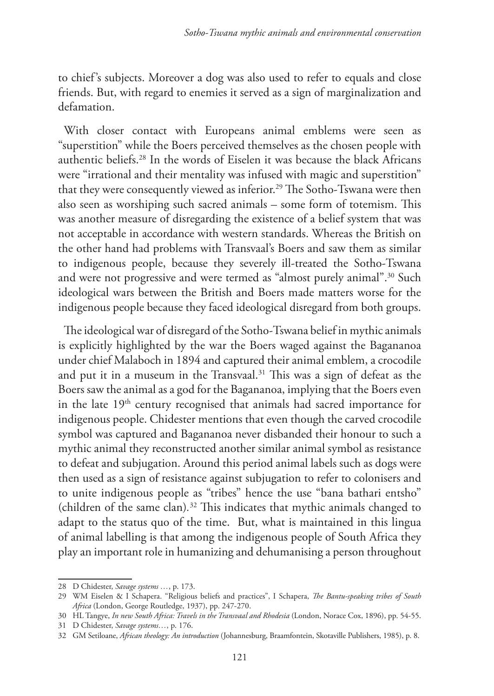to chief's subjects. Moreover a dog was also used to refer to equals and close friends. But, with regard to enemies it served as a sign of marginalization and defamation.

With closer contact with Europeans animal emblems were seen as "superstition" while the Boers perceived themselves as the chosen people with authentic beliefs.28 In the words of Eiselen it was because the black Africans were "irrational and their mentality was infused with magic and superstition" that they were consequently viewed as inferior.<sup>29</sup> The Sotho-Tswana were then also seen as worshiping such sacred animals – some form of totemism. This was another measure of disregarding the existence of a belief system that was not acceptable in accordance with western standards. Whereas the British on the other hand had problems with Transvaal's Boers and saw them as similar to indigenous people, because they severely ill-treated the Sotho-Tswana and were not progressive and were termed as "almost purely animal".<sup>30</sup> Such ideological wars between the British and Boers made matters worse for the indigenous people because they faced ideological disregard from both groups.

The ideological war of disregard of the Sotho-Tswana belief in mythic animals is explicitly highlighted by the war the Boers waged against the Bagananoa under chief Malaboch in 1894 and captured their animal emblem, a crocodile and put it in a museum in the Transvaal.<sup>31</sup> This was a sign of defeat as the Boers saw the animal as a god for the Bagananoa, implying that the Boers even in the late 19<sup>th</sup> century recognised that animals had sacred importance for indigenous people. Chidester mentions that even though the carved crocodile symbol was captured and Bagananoa never disbanded their honour to such a mythic animal they reconstructed another similar animal symbol as resistance to defeat and subjugation. Around this period animal labels such as dogs were then used as a sign of resistance against subjugation to refer to colonisers and to unite indigenous people as "tribes" hence the use "bana bathari entsho" (children of the same clan)*.* 32 This indicates that mythic animals changed to adapt to the status quo of the time. But, what is maintained in this lingua of animal labelling is that among the indigenous people of South Africa they play an important role in humanizing and dehumanising a person throughout

<sup>28</sup> D Chidester, *Savage systems …*, p. 173.

<sup>29</sup> WM Eiselen & I Schapera. "Religious beliefs and practices", I Schapera, *The Bantu-speaking tribes of South Africa* (London, George Routledge, 1937), pp. 247-270.

<sup>30</sup> HL Tangye, *In new South Africa: Travels in the Transvaal and Rhodesia* (London, Norace Cox, 1896), pp. 54-55.

<sup>31</sup> D Chidester, *Savage systems…*, p. 176.

<sup>32</sup> GM Setiloane, *African theology: An introduction* (Johannesburg, Braamfontein, Skotaville Publishers, 1985), p. 8.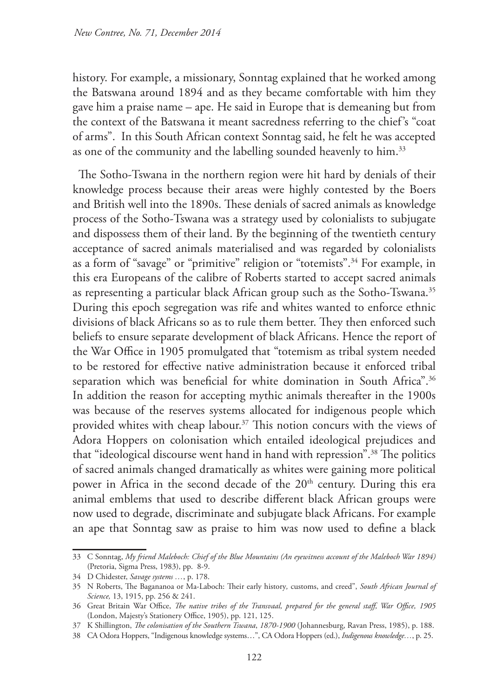history. For example, a missionary, Sonntag explained that he worked among the Batswana around 1894 and as they became comfortable with him they gave him a praise name – ape. He said in Europe that is demeaning but from the context of the Batswana it meant sacredness referring to the chief's "coat of arms". In this South African context Sonntag said, he felt he was accepted as one of the community and the labelling sounded heavenly to him.<sup>33</sup>

The Sotho-Tswana in the northern region were hit hard by denials of their knowledge process because their areas were highly contested by the Boers and British well into the 1890s. These denials of sacred animals as knowledge process of the Sotho-Tswana was a strategy used by colonialists to subjugate and dispossess them of their land. By the beginning of the twentieth century acceptance of sacred animals materialised and was regarded by colonialists as a form of "savage" or "primitive" religion or "totemists".34 For example, in this era Europeans of the calibre of Roberts started to accept sacred animals as representing a particular black African group such as the Sotho-Tswana.<sup>35</sup> During this epoch segregation was rife and whites wanted to enforce ethnic divisions of black Africans so as to rule them better. They then enforced such beliefs to ensure separate development of black Africans. Hence the report of the War Office in 1905 promulgated that "totemism as tribal system needed to be restored for effective native administration because it enforced tribal separation which was beneficial for white domination in South Africa".<sup>36</sup> In addition the reason for accepting mythic animals thereafter in the 1900s was because of the reserves systems allocated for indigenous people which provided whites with cheap labour.<sup>37</sup> This notion concurs with the views of Adora Hoppers on colonisation which entailed ideological prejudices and that "ideological discourse went hand in hand with repression".38 The politics of sacred animals changed dramatically as whites were gaining more political power in Africa in the second decade of the 20<sup>th</sup> century. During this era animal emblems that used to describe different black African groups were now used to degrade, discriminate and subjugate black Africans. For example an ape that Sonntag saw as praise to him was now used to define a black

<sup>33</sup> C Sonntag, *My friend Maleboch: Chief of the Blue Mountains (An eyewitness account of the Maleboch War 1894)* (Pretoria, Sigma Press, 1983), pp. 8-9.

<sup>34</sup> D Chidester, *Savage systems …*, p. 178.

<sup>35</sup> N Roberts, The Bagananoa or Ma-Laboch: Their early history*,* customs, and creed", *South African Journal of Science,* 13, 1915, pp. 256 & 241.

<sup>36</sup> Great Britain War Office, *The native tribes of the Transvaal, prepared for the general staff, War Office, 1905*  (London, Majesty's Stationery Office, 1905), pp. 121, 125.

<sup>37</sup> K Shillington, *The colonisation of the Southern Tswana*, *1870-1900* (Johannesburg, Ravan Press, 1985), p. 188.

<sup>38</sup> CA Odora Hoppers, "Indigenous knowledge systems…", CA Odora Hoppers (ed.), *Indigenous knowledge…*, p. 25.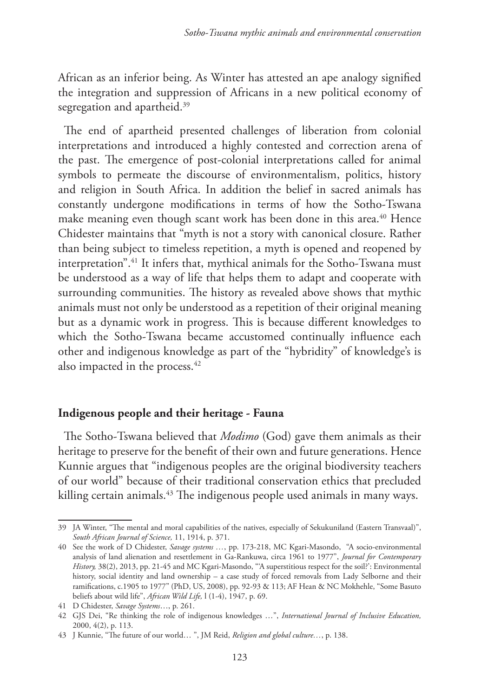African as an inferior being. As Winter has attested an ape analogy signified the integration and suppression of Africans in a new political economy of segregation and apartheid.<sup>39</sup>

The end of apartheid presented challenges of liberation from colonial interpretations and introduced a highly contested and correction arena of the past. The emergence of post-colonial interpretations called for animal symbols to permeate the discourse of environmentalism, politics, history and religion in South Africa. In addition the belief in sacred animals has constantly undergone modifications in terms of how the Sotho-Tswana make meaning even though scant work has been done in this area.<sup>40</sup> Hence Chidester maintains that "myth is not a story with canonical closure. Rather than being subject to timeless repetition, a myth is opened and reopened by interpretation".<sup>41</sup> It infers that, mythical animals for the Sotho-Tswana must be understood as a way of life that helps them to adapt and cooperate with surrounding communities. The history as revealed above shows that mythic animals must not only be understood as a repetition of their original meaning but as a dynamic work in progress. This is because different knowledges to which the Sotho-Tswana became accustomed continually influence each other and indigenous knowledge as part of the "hybridity" of knowledge's is also impacted in the process.<sup>42</sup>

# **Indigenous people and their heritage - Fauna**

The Sotho-Tswana believed that *Modimo* (God) gave them animals as their heritage to preserve for the benefit of their own and future generations. Hence Kunnie argues that "indigenous peoples are the original biodiversity teachers of our world" because of their traditional conservation ethics that precluded killing certain animals.<sup>43</sup> The indigenous people used animals in many ways.

<sup>39</sup> JA Winter, "The mental and moral capabilities of the natives, especially of Sekukuniland (Eastern Transvaal)", *South African Journal of Science,* 11, 1914, p. 371.

<sup>40</sup> See the work of D Chidester, *Savage systems …*, pp. 173-218, MC Kgari-Masondo, "A socio-environmental analysis of land alienation and resettlement in Ga-Rankuwa, circa 1961 to 1977", *Journal for Contemporary History,* 38(2), 2013, pp. 21-45 and MC Kgari-Masondo, "'A superstitious respect for the soil?': Environmental history, social identity and land ownership – a case study of forced removals from Lady Selborne and their ramifications, c.1905 to 1977" (PhD, US, 2008), pp. 92-93 & 113; AF Hean & NC Mokhehle, "Some Basuto beliefs about wild life", *African Wild Life,* l (1-4), 1947, p. 69.

<sup>41</sup> D Chidester, *Savage Systems*…, p. 261.

<sup>42</sup> GJS Dei, "Re thinking the role of indigenous knowledges …", *International Journal of Inclusive Education,*  2000, 4(2), p. 113.

<sup>43</sup> J Kunnie, "The future of our world… ", JM Reid, *Religion and global culture…*, p. 138.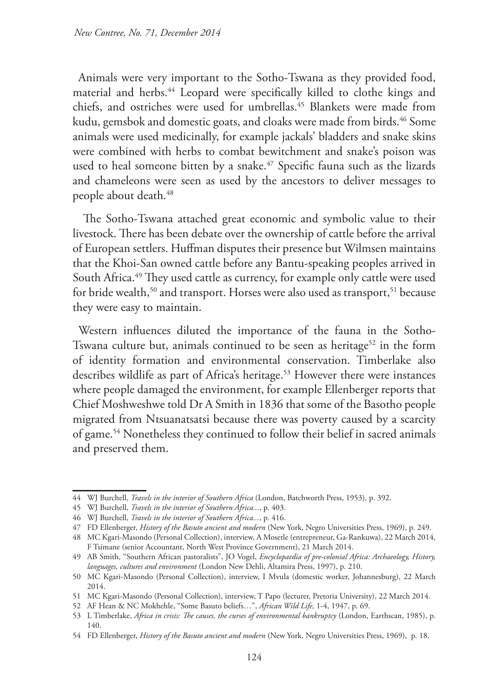Animals were very important to the Sotho-Tswana as they provided food, material and herbs.<sup>44</sup> Leopard were specifically killed to clothe kings and chiefs, and ostriches were used for umbrellas.<sup>45</sup> Blankets were made from kudu, gemsbok and domestic goats, and cloaks were made from birds.<sup>46</sup> Some animals were used medicinally, for example jackals' bladders and snake skins were combined with herbs to combat bewitchment and snake's poison was used to heal someone bitten by a snake.<sup>47</sup> Specific fauna such as the lizards and chameleons were seen as used by the ancestors to deliver messages to people about death.<sup>48</sup>

 The Sotho-Tswana attached great economic and symbolic value to their livestock. There has been debate over the ownership of cattle before the arrival of European settlers. Huffman disputes their presence but Wilmsen maintains that the Khoi-San owned cattle before any Bantu-speaking peoples arrived in South Africa.<sup>49</sup> They used cattle as currency, for example only cattle were used for bride wealth,<sup>50</sup> and transport. Horses were also used as transport,<sup>51</sup> because they were easy to maintain.

Western influences diluted the importance of the fauna in the Sotho-Tswana culture but, animals continued to be seen as heritage<sup>52</sup> in the form of identity formation and environmental conservation. Timberlake also describes wildlife as part of Africa's heritage.<sup>53</sup> However there were instances where people damaged the environment, for example Ellenberger reports that Chief Moshweshwe told Dr A Smith in 1836 that some of the Basotho people migrated from Ntsuanatsatsi because there was poverty caused by a scarcity of game.54 Nonetheless they continued to follow their belief in sacred animals and preserved them.

<sup>44</sup> WJ Burchell, *Travels in the interior of Southern Africa* (London, Batchworth Press, 1953)*,* p. 392.

<sup>45</sup> WJ Burchell, *Travels in the interior of Southern Africa...*, p. 403.

<sup>46</sup> WJ Burchell, *Travels in the interior of Southern Africa...*, p. 416.

<sup>47</sup> FD Ellenberger, *History of the Basuto ancient and modern* (New York, Negro Universities Press, 1969), p. 249.

<sup>48</sup> MC Kgari-Masondo (Personal Collection), interview, A Mosetle (entrepreneur, Ga-Rankuwa), 22 March 2014, F Tsimane (senior Accountant, North West Province Government), 21 March 2014.

<sup>49</sup> AB Smith, "Southern African pastoralists", JO Vogel, *Encyclopaedia of pre-colonial Africa: Archaeology, History, languages, cultures and environment* (London New Dehli, Altamira Press, 1997), p. 210.

<sup>50</sup> MC Kgari-Masondo (Personal Collection), interview, I Mvula (domestic worker, Johannesburg), 22 March 2014.

<sup>51</sup> MC Kgari-Masondo (Personal Collection), interview, T Papo (lecturer, Pretoria University), 22 March 2014.

<sup>52</sup> AF Hean & NC Mokhehle, "Some Basuto beliefs…", *African Wild Life,* 1-4, 1947, p. 69.

<sup>53</sup> L Timberlake, *Africa in crisis: The causes, the curses of environmental bankruptcy* (London, Earthscan, 1985), p. 140.

<sup>54</sup> FD Ellenberger, *History of the Basuto ancient and modern* (New York, Negro Universities Press, 1969), p. 18.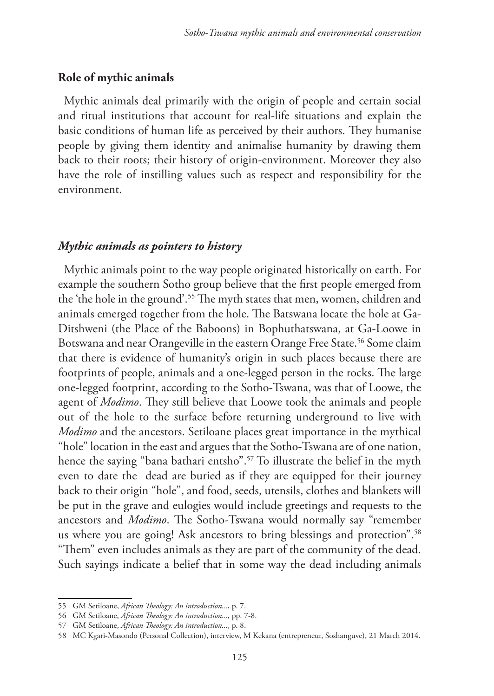#### **Role of mythic animals**

Mythic animals deal primarily with the origin of people and certain social and ritual institutions that account for real-life situations and explain the basic conditions of human life as perceived by their authors. They humanise people by giving them identity and animalise humanity by drawing them back to their roots; their history of origin-environment. Moreover they also have the role of instilling values such as respect and responsibility for the environment.

#### *Mythic animals as pointers to history*

Mythic animals point to the way people originated historically on earth. For example the southern Sotho group believe that the first people emerged from the 'the hole in the ground'.55 The myth states that men, women, children and animals emerged together from the hole. The Batswana locate the hole at Ga-Ditshweni (the Place of the Baboons) in Bophuthatswana, at Ga-Loowe in Botswana and near Orangeville in the eastern Orange Free State.<sup>56</sup> Some claim that there is evidence of humanity's origin in such places because there are footprints of people, animals and a one-legged person in the rocks. The large one-legged footprint, according to the Sotho-Tswana, was that of Loowe, the agent of *Modimo*. They still believe that Loowe took the animals and people out of the hole to the surface before returning underground to live with *Modimo* and the ancestors. Setiloane places great importance in the mythical "hole" location in the east and argues that the Sotho-Tswana are of one nation, hence the saying "bana bathari entsho".57 To illustrate the belief in the myth even to date the dead are buried as if they are equipped for their journey back to their origin "hole", and food, seeds, utensils, clothes and blankets will be put in the grave and eulogies would include greetings and requests to the ancestors and *Modimo*. The Sotho-Tswana would normally say "remember us where you are going! Ask ancestors to bring blessings and protection".58 "Them" even includes animals as they are part of the community of the dead. Such sayings indicate a belief that in some way the dead including animals

<sup>55</sup> GM Setiloane, *African Theology: An introduction...*, p. 7.

<sup>56</sup> GM Setiloane, *African Theology: An introduction...*, pp. 7-8.

<sup>57</sup> GM Setiloane, *African Theology: An introduction...*, p. 8.

<sup>58</sup> MC Kgari-Masondo (Personal Collection), interview, M Kekana (entrepreneur, Soshanguve), 21 March 2014.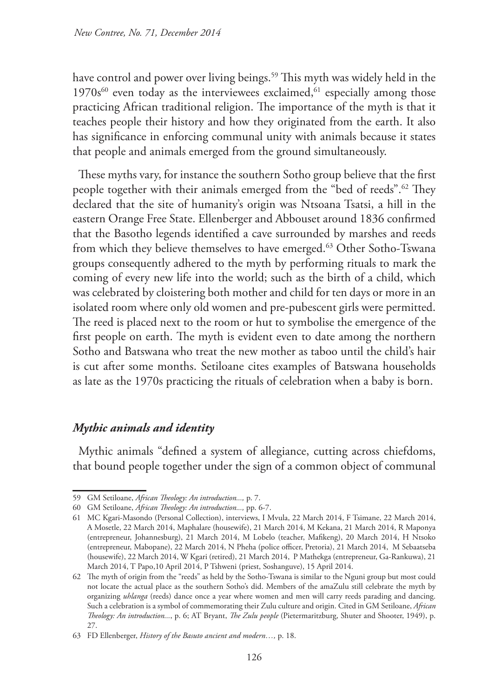have control and power over living beings.<sup>59</sup> This myth was widely held in the  $1970s^{60}$  even today as the interviewees exclaimed,  $61$  especially among those practicing African traditional religion. The importance of the myth is that it teaches people their history and how they originated from the earth. It also has significance in enforcing communal unity with animals because it states that people and animals emerged from the ground simultaneously.

These myths vary, for instance the southern Sotho group believe that the first people together with their animals emerged from the "bed of reeds".62 They declared that the site of humanity's origin was Ntsoana Tsatsi, a hill in the eastern Orange Free State. Ellenberger and Abbouset around 1836 confirmed that the Basotho legends identified a cave surrounded by marshes and reeds from which they believe themselves to have emerged.<sup>63</sup> Other Sotho-Tswana groups consequently adhered to the myth by performing rituals to mark the coming of every new life into the world; such as the birth of a child, which was celebrated by cloistering both mother and child for ten days or more in an isolated room where only old women and pre-pubescent girls were permitted. The reed is placed next to the room or hut to symbolise the emergence of the first people on earth. The myth is evident even to date among the northern Sotho and Batswana who treat the new mother as taboo until the child's hair is cut after some months. Setiloane cites examples of Batswana households as late as the 1970s practicing the rituals of celebration when a baby is born.

# *Mythic animals and identity*

Mythic animals "defined a system of allegiance, cutting across chiefdoms, that bound people together under the sign of a common object of communal

<sup>59</sup> GM Setiloane, *African Theology: An introduction...,* p. 7.

<sup>60</sup> GM Setiloane, *African Theology: An introduction...,* pp. 6-7.

<sup>61</sup> MC Kgari-Masondo (Personal Collection), interviews, I Mvula, 22 March 2014, F Tsimane, 22 March 2014, A Mosetle, 22 March 2014, Maphalare (housewife), 21 March 2014, M Kekana, 21 March 2014, R Maponya (entrepreneur, Johannesburg), 21 March 2014, M Lobelo (teacher, Mafikeng), 20 March 2014, H Ntsoko (entrepreneur, Mabopane), 22 March 2014, N Pheha (police officer, Pretoria), 21 March 2014, M Sebaatseba (housewife), 22 March 2014, W Kgari (retired), 21 March 2014, P Mathekga (entrepreneur, Ga-Rankuwa), 21 March 2014, T Papo,10 April 2014, P Tshweni (priest, Soshanguve), 15 April 2014.

<sup>62</sup> The myth of origin from the "reeds" as held by the Sotho-Tswana is similar to the Nguni group but most could not locate the actual place as the southern Sotho's did. Members of the amaZulu still celebrate the myth by organizing *uhlanga* (reeds) dance once a year where women and men will carry reeds parading and dancing. Such a celebration is a symbol of commemorating their Zulu culture and origin. Cited in GM Setiloane, *African Theology: An introduction...*, p. 6; AT Bryant, *The Zulu people* (Pietermaritzburg, Shuter and Shooter, 1949), p. 27.

<sup>63</sup> FD Ellenberger, *History of the Basuto ancient and modern…,* p. 18.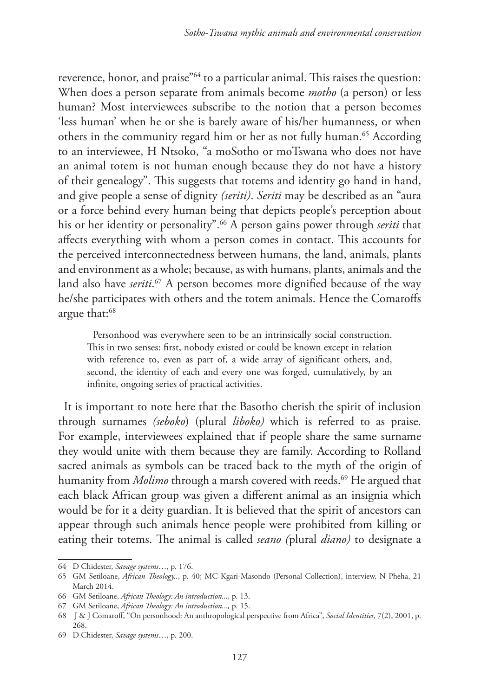reverence, honor, and praise"64 to a particular animal. This raises the question: When does a person separate from animals become *motho* (a person) or less human? Most interviewees subscribe to the notion that a person becomes 'less human' when he or she is barely aware of his/her humanness, or when others in the community regard him or her as not fully human.<sup>65</sup> According to an interviewee, H Ntsoko, "a moSotho or moTswana who does not have an animal totem is not human enough because they do not have a history of their genealogy". This suggests that totems and identity go hand in hand, and give people a sense of dignity *(seriti)*. *Seriti* may be described as an "aura or a force behind every human being that depicts people's perception about his or her identity or personality".66 A person gains power through *seriti* that affects everything with whom a person comes in contact. This accounts for the perceived interconnectedness between humans, the land, animals, plants and environment as a whole; because, as with humans, plants, animals and the land also have *seriti*. 67 A person becomes more dignified because of the way he/she participates with others and the totem animals. Hence the Comaroffs argue that:<sup>68</sup>

Personhood was everywhere seen to be an intrinsically social construction. This in two senses: first, nobody existed or could be known except in relation with reference to, even as part of, a wide array of significant others, and, second, the identity of each and every one was forged, cumulatively, by an infinite, ongoing series of practical activities.

It is important to note here that the Basotho cherish the spirit of inclusion through surnames *(seboko*) (plural *liboko)* which is referred to as praise. For example, interviewees explained that if people share the same surname they would unite with them because they are family. According to Rolland sacred animals as symbols can be traced back to the myth of the origin of humanity from *Molimo* through a marsh covered with reeds.<sup>69</sup> He argued that each black African group was given a different animal as an insignia which would be for it a deity guardian. It is believed that the spirit of ancestors can appear through such animals hence people were prohibited from killing or eating their totems. The animal is called *seano (*plural *diano)* to designate a

<sup>64</sup> D Chidester, *Savage systems*…, p. 176.

<sup>65</sup> GM Setiloane, *African Theology..*, p. 40; MC Kgari-Masondo (Personal Collection), interview, N Pheha, 21 March 2014.

<sup>66</sup> GM Setiloane, *African Theology: An introduction...*, p. 13.

<sup>67</sup> GM Setiloane, *African Theology: An introduction...,* p*.* 15.

<sup>68</sup> J & J Comaroff, "On personhood: An anthropological perspective from Africa", *Social Identities,* 7(2), 2001, p. 268.

<sup>69</sup> D Chidester, *Savage systems*…, p. 200.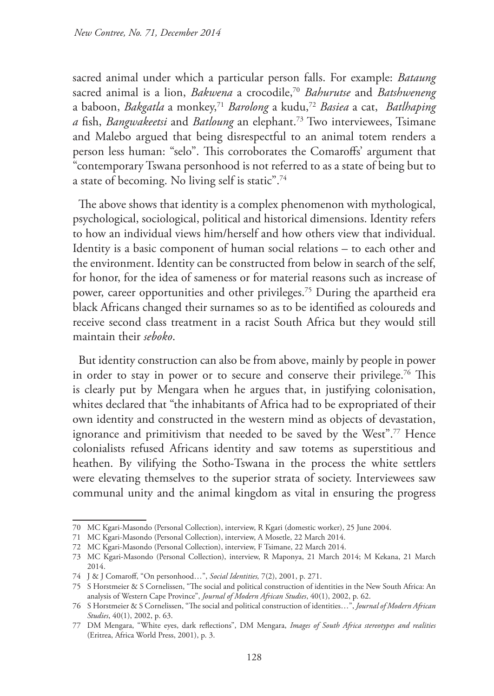sacred animal under which a particular person falls. For example: *Bataung* sacred animal is a lion, *Bakwena* a crocodile,70 *Bahurutse* and *Batshweneng*  a baboon, *Bakgatla* a monkey,71 *Barolong* a kudu,72 *Basiea* a cat, *Batlhaping a* fish, *Bangwakeetsi* and *Batloung* an elephant.73 Two interviewees, Tsimane and Malebo argued that being disrespectful to an animal totem renders a person less human: "selo". This corroborates the Comaroffs' argument that "contemporary Tswana personhood is not referred to as a state of being but to a state of becoming. No living self is static".74

The above shows that identity is a complex phenomenon with mythological, psychological, sociological, political and historical dimensions. Identity refers to how an individual views him/herself and how others view that individual. Identity is a basic component of human social relations – to each other and the environment. Identity can be constructed from below in search of the self, for honor, for the idea of sameness or for material reasons such as increase of power, career opportunities and other privileges.75 During the apartheid era black Africans changed their surnames so as to be identified as coloureds and receive second class treatment in a racist South Africa but they would still maintain their *seboko*.

But identity construction can also be from above, mainly by people in power in order to stay in power or to secure and conserve their privilege.<sup>76</sup> This is clearly put by Mengara when he argues that, in justifying colonisation, whites declared that "the inhabitants of Africa had to be expropriated of their own identity and constructed in the western mind as objects of devastation, ignorance and primitivism that needed to be saved by the West".77 Hence colonialists refused Africans identity and saw totems as superstitious and heathen. By vilifying the Sotho-Tswana in the process the white settlers were elevating themselves to the superior strata of society. Interviewees saw communal unity and the animal kingdom as vital in ensuring the progress

<sup>70</sup> MC Kgari-Masondo (Personal Collection), interview, R Kgari (domestic worker), 25 June 2004.

<sup>71</sup> MC Kgari-Masondo (Personal Collection), interview, A Mosetle, 22 March 2014.

<sup>72</sup> MC Kgari-Masondo (Personal Collection), interview, F Tsimane, 22 March 2014.

<sup>73</sup> MC Kgari-Masondo (Personal Collection), interview, R Maponya, 21 March 2014; M Kekana, 21 March 2014.

<sup>74</sup> J & J Comaroff, "On personhood…", *Social Identities,* 7(2), 2001, p. 271.

<sup>75</sup> S Horstmeier & S Cornelissen, "The social and political construction of identities in the New South Africa: An analysis of Western Cape Province", *Journal of Modern African Studies*, 40(1), 2002, p. 62.

<sup>76</sup> S Horstmeier & S Cornelissen, "The social and political construction of identities…", *Journal of Modern African Studies*, 40(1), 2002, p. 63.

<sup>77</sup> DM Mengara, "White eyes, dark reflections", DM Mengara, *Images of South Africa stereotypes and realities* (Eritrea, Africa World Press, 2001), p. 3.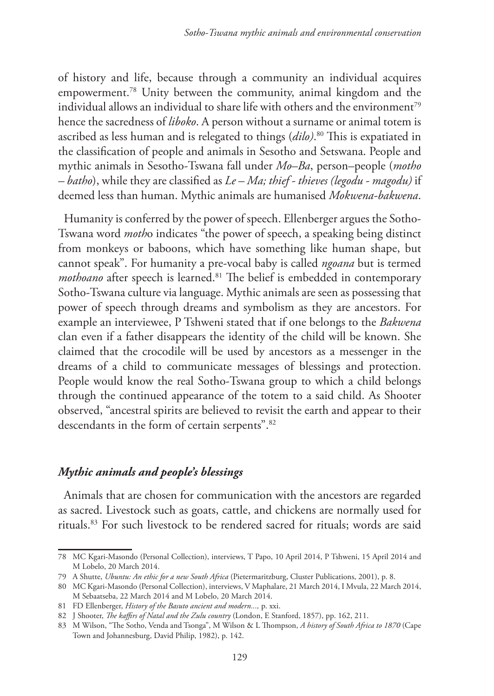of history and life, because through a community an individual acquires empowerment.78 Unity between the community, animal kingdom and the individual allows an individual to share life with others and the environment<sup>79</sup> hence the sacredness of *liboko*. A person without a surname or animal totem is ascribed as less human and is relegated to things (*dilo)*. 80 This is expatiated in the classification of people and animals in Sesotho and Setswana. People and mythic animals in Sesotho-Tswana fall under *Mo–Ba*, person–people (*motho – batho*), while they are classified as *Le – Ma; thief - thieves (legodu - magodu)* if deemed less than human. Mythic animals are humanised *Mokwena-bakwena*.

Humanity is conferred by the power of speech. Ellenberger argues the Sotho-Tswana word *moth*o indicates "the power of speech, a speaking being distinct from monkeys or baboons, which have something like human shape, but cannot speak". For humanity a pre-vocal baby is called *ngoana* but is termed *mothoano* after speech is learned.<sup>81</sup> The belief is embedded in contemporary Sotho-Tswana culture via language. Mythic animals are seen as possessing that power of speech through dreams and symbolism as they are ancestors. For example an interviewee, P Tshweni stated that if one belongs to the *Bakwena*  clan even if a father disappears the identity of the child will be known. She claimed that the crocodile will be used by ancestors as a messenger in the dreams of a child to communicate messages of blessings and protection. People would know the real Sotho-Tswana group to which a child belongs through the continued appearance of the totem to a said child. As Shooter observed, "ancestral spirits are believed to revisit the earth and appear to their descendants in the form of certain serpents".<sup>82</sup>

# *Mythic animals and people's blessings*

Animals that are chosen for communication with the ancestors are regarded as sacred. Livestock such as goats, cattle, and chickens are normally used for rituals.83 For such livestock to be rendered sacred for rituals; words are said

<sup>78</sup> MC Kgari-Masondo (Personal Collection), interviews, T Papo, 10 April 2014, P Tshweni, 15 April 2014 and M Lobelo, 20 March 2014.

<sup>79</sup> A Shutte, *Ubuntu: An ethic for a new South Africa* (Pietermaritzburg, Cluster Publications, 2001), p. 8.

<sup>80</sup> MC Kgari-Masondo (Personal Collection), interviews, V Maphalare, 21 March 2014, I Mvula, 22 March 2014, M Sebaatseba, 22 March 2014 and M Lobelo, 20 March 2014.

<sup>81</sup> FD Ellenberger, *History of the Basuto ancient and modern...,* p. xxi.

<sup>82</sup> J Shooter, *The kaffirs of Natal and the Zulu country* (London, E Stanford, 1857), pp. 162, 211.

<sup>83</sup> M Wilson, "The Sotho, Venda and Tsonga", M Wilson & L Thompson, *A history of South Africa to 1870* (Cape Town and Johannesburg, David Philip, 1982), p. 142.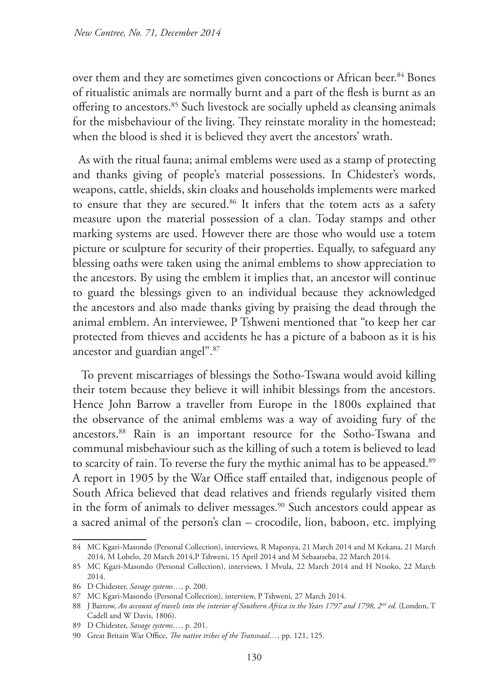over them and they are sometimes given concoctions or African beer.<sup>84</sup> Bones of ritualistic animals are normally burnt and a part of the flesh is burnt as an offering to ancestors.85 Such livestock are socially upheld as cleansing animals for the misbehaviour of the living. They reinstate morality in the homestead; when the blood is shed it is believed they avert the ancestors' wrath.

As with the ritual fauna; animal emblems were used as a stamp of protecting and thanks giving of people's material possessions. In Chidester's words, weapons, cattle, shields, skin cloaks and households implements were marked to ensure that they are secured.<sup>86</sup> It infers that the totem acts as a safety measure upon the material possession of a clan. Today stamps and other marking systems are used. However there are those who would use a totem picture or sculpture for security of their properties. Equally, to safeguard any blessing oaths were taken using the animal emblems to show appreciation to the ancestors. By using the emblem it implies that, an ancestor will continue to guard the blessings given to an individual because they acknowledged the ancestors and also made thanks giving by praising the dead through the animal emblem. An interviewee, P Tshweni mentioned that "to keep her car protected from thieves and accidents he has a picture of a baboon as it is his ancestor and guardian angel".87

 To prevent miscarriages of blessings the Sotho-Tswana would avoid killing their totem because they believe it will inhibit blessings from the ancestors. Hence John Barrow a traveller from Europe in the 1800s explained that the observance of the animal emblems was a way of avoiding fury of the ancestors.88 Rain is an important resource for the Sotho-Tswana and communal misbehaviour such as the killing of such a totem is believed to lead to scarcity of rain. To reverse the fury the mythic animal has to be appeased.<sup>89</sup> A report in 1905 by the War Office staff entailed that, indigenous people of South Africa believed that dead relatives and friends regularly visited them in the form of animals to deliver messages.<sup>90</sup> Such ancestors could appear as a sacred animal of the person's clan – crocodile, lion, baboon, etc. implying

<sup>84</sup> MC Kgari-Masondo (Personal Collection), interviews, R Maponya, 21 March 2014 and M Kekana, 21 March 2014, M Lobelo, 20 March 2014,P Tshweni, 15 April 2014 and M Sebaatseba, 22 March 2014.

<sup>85</sup> MC Kgari-Masondo (Personal Collection), interviews, I Mvula, 22 March 2014 and H Ntsoko, 22 March 2014.

<sup>86</sup> D Chidester, *Savage systems…*, p. 200.

<sup>87</sup> MC Kgari-Masondo (Personal Collection), interview, P Tshweni, 27 March 2014.

<sup>88</sup> J Barrow, *An account of travels into the interior of Southern Africa in the Years 1797 and 1798, 2nd ed.* (London, T Cadell and W Davis, 1806).

<sup>89</sup> D Chidester, *Savage systems…,* p. 201.

<sup>90</sup> Great Britain War Office, *The native tribes of the Transvaal…*, pp. 121, 125.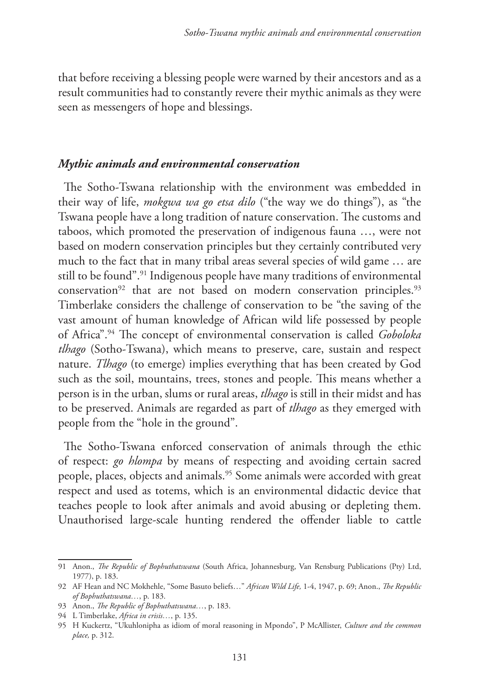that before receiving a blessing people were warned by their ancestors and as a result communities had to constantly revere their mythic animals as they were seen as messengers of hope and blessings.

#### *Mythic animals and environmental conservation*

The Sotho-Tswana relationship with the environment was embedded in their way of life, *mokgwa wa go etsa dilo* ("the way we do things"), as "the Tswana people have a long tradition of nature conservation. The customs and taboos, which promoted the preservation of indigenous fauna …, were not based on modern conservation principles but they certainly contributed very much to the fact that in many tribal areas several species of wild game … are still to be found".91 Indigenous people have many traditions of environmental conservation<sup>92</sup> that are not based on modern conservation principles.<sup>93</sup> Timberlake considers the challenge of conservation to be "the saving of the vast amount of human knowledge of African wild life possessed by people of Africa".94 The concept of environmental conservation is called *Goboloka tlhago* (Sotho-Tswana), which means to preserve, care, sustain and respect nature. *Tlhago* (to emerge) implies everything that has been created by God such as the soil, mountains, trees, stones and people. This means whether a person is in the urban, slums or rural areas, *tlhago* is still in their midst and has to be preserved. Animals are regarded as part of *tlhago* as they emerged with people from the "hole in the ground".

The Sotho-Tswana enforced conservation of animals through the ethic of respect: *go hlompa* by means of respecting and avoiding certain sacred people, places, objects and animals.95 Some animals were accorded with great respect and used as totems, which is an environmental didactic device that teaches people to look after animals and avoid abusing or depleting them. Unauthorised large-scale hunting rendered the offender liable to cattle

<sup>91</sup> Anon., *The Republic of Bophuthatswana* (South Africa, Johannesburg, Van Rensburg Publications (Pty) Ltd, 1977), p. 183.

<sup>92</sup> AF Hean and NC Mokhehle, "Some Basuto beliefs…" *African Wild Life,* 1-4, 1947, p. 69; Anon., *The Republic of Bophuthatswana…*, p. 183.

<sup>93</sup> Anon., *The Republic of Bophuthatswana…*, p. 183.

<sup>94</sup> L Timberlake, *Africa in crisis…*, p. 135.

<sup>95</sup> H Kuckertz, "Ukuhlonipha as idiom of moral reasoning in Mpondo", P McAllister, *Culture and the common place,* p. 312.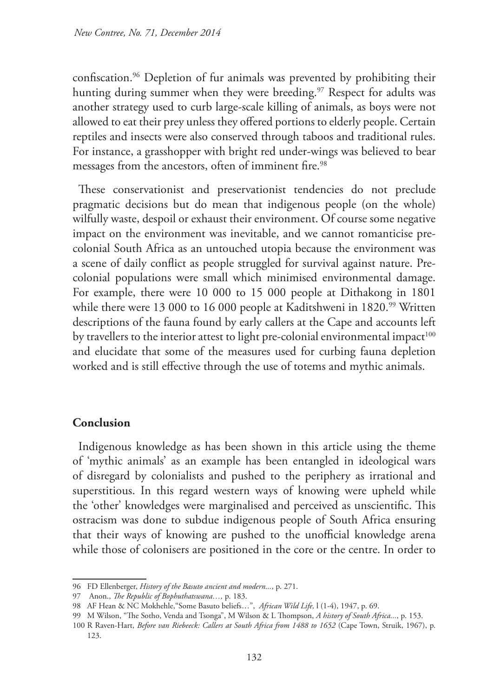confiscation.96 Depletion of fur animals was prevented by prohibiting their hunting during summer when they were breeding.<sup>97</sup> Respect for adults was another strategy used to curb large-scale killing of animals, as boys were not allowed to eat their prey unless they offered portions to elderly people. Certain reptiles and insects were also conserved through taboos and traditional rules. For instance, a grasshopper with bright red under-wings was believed to bear messages from the ancestors, often of imminent fire.<sup>98</sup>

These conservationist and preservationist tendencies do not preclude pragmatic decisions but do mean that indigenous people (on the whole) wilfully waste, despoil or exhaust their environment. Of course some negative impact on the environment was inevitable, and we cannot romanticise precolonial South Africa as an untouched utopia because the environment was a scene of daily conflict as people struggled for survival against nature. Precolonial populations were small which minimised environmental damage. For example, there were 10 000 to 15 000 people at Dithakong in 1801 while there were 13 000 to 16 000 people at Kaditshweni in 1820.<sup>99</sup> Written descriptions of the fauna found by early callers at the Cape and accounts left by travellers to the interior attest to light pre-colonial environmental impact<sup>100</sup> and elucidate that some of the measures used for curbing fauna depletion worked and is still effective through the use of totems and mythic animals.

# **Conclusion**

Indigenous knowledge as has been shown in this article using the theme of 'mythic animals' as an example has been entangled in ideological wars of disregard by colonialists and pushed to the periphery as irrational and superstitious. In this regard western ways of knowing were upheld while the 'other' knowledges were marginalised and perceived as unscientific. This ostracism was done to subdue indigenous people of South Africa ensuring that their ways of knowing are pushed to the unofficial knowledge arena while those of colonisers are positioned in the core or the centre. In order to

<sup>96</sup> FD Ellenberger, *History of the Basuto ancient and modern...*, p. 271.

<sup>97</sup> Anon., *The Republic of Bophuthatswana…,* p. 183.

<sup>98</sup> AF Hean & NC Mokhehle,"Some Basuto beliefs…", *African Wild Life,* l (1-4), 1947, p. 69.

<sup>99</sup> M Wilson, "The Sotho, Venda and Tsonga", M Wilson & L Thompson, *A history of South Africa...*, p. 153.

<sup>100</sup> R Raven-Hart, *Before van Riebeeck: Callers at South Africa from 1488 to 1652* (Cape Town, Struik, 1967), p. 123.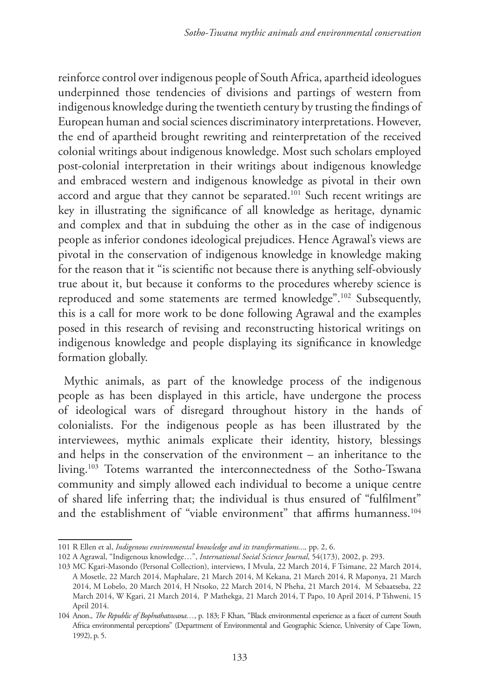reinforce control over indigenous people of South Africa, apartheid ideologues underpinned those tendencies of divisions and partings of western from indigenous knowledge during the twentieth century by trusting the findings of European human and social sciences discriminatory interpretations. However, the end of apartheid brought rewriting and reinterpretation of the received colonial writings about indigenous knowledge. Most such scholars employed post-colonial interpretation in their writings about indigenous knowledge and embraced western and indigenous knowledge as pivotal in their own accord and argue that they cannot be separated.<sup>101</sup> Such recent writings are key in illustrating the significance of all knowledge as heritage, dynamic and complex and that in subduing the other as in the case of indigenous people as inferior condones ideological prejudices. Hence Agrawal's views are pivotal in the conservation of indigenous knowledge in knowledge making for the reason that it "is scientific not because there is anything self-obviously true about it, but because it conforms to the procedures whereby science is reproduced and some statements are termed knowledge".102 Subsequently, this is a call for more work to be done following Agrawal and the examples posed in this research of revising and reconstructing historical writings on indigenous knowledge and people displaying its significance in knowledge formation globally.

Mythic animals, as part of the knowledge process of the indigenous people as has been displayed in this article, have undergone the process of ideological wars of disregard throughout history in the hands of colonialists. For the indigenous people as has been illustrated by the interviewees, mythic animals explicate their identity, history, blessings and helps in the conservation of the environment – an inheritance to the living.<sup>103</sup> Totems warranted the interconnectedness of the Sotho-Tswana community and simply allowed each individual to become a unique centre of shared life inferring that; the individual is thus ensured of "fulfilment" and the establishment of "viable environment" that affirms humanness.<sup>104</sup>

<sup>101</sup> R Ellen et al, *Indigenous environmental knowledge and its transformations...,* pp. 2, 6.

<sup>102</sup> A Agrawal, "Indigenous knowledge…", *International Social Science Journal*, 54(173), 2002, p. 293.

<sup>103</sup> MC Kgari-Masondo (Personal Collection), interviews, I Mvula, 22 March 2014, F Tsimane, 22 March 2014, A Mosetle, 22 March 2014, Maphalare, 21 March 2014, M Kekana, 21 March 2014, R Maponya, 21 March 2014, M Lobelo, 20 March 2014, H Ntsoko, 22 March 2014, N Pheha, 21 March 2014, M Sebaatseba, 22 March 2014, W Kgari, 21 March 2014, P Mathekga, 21 March 2014, T Papo, 10 April 2014, P Tshweni, 15 April 2014.

<sup>104</sup> Anon., *The Republic of Bophuthatswana…*, p. 183; F Khan, "Black environmental experience as a facet of current South Africa environmental perceptions" (Department of Environmental and Geographic Science, University of Cape Town, 1992), p. 5.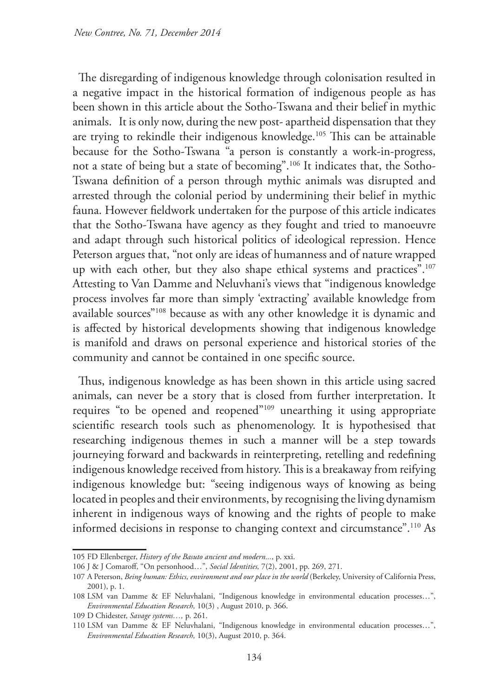The disregarding of indigenous knowledge through colonisation resulted in a negative impact in the historical formation of indigenous people as has been shown in this article about the Sotho-Tswana and their belief in mythic animals. It is only now, during the new post- apartheid dispensation that they are trying to rekindle their indigenous knowledge.<sup>105</sup> This can be attainable because for the Sotho-Tswana "a person is constantly a work-in-progress, not a state of being but a state of becoming".106 It indicates that, the Sotho-Tswana definition of a person through mythic animals was disrupted and arrested through the colonial period by undermining their belief in mythic fauna. However fieldwork undertaken for the purpose of this article indicates that the Sotho-Tswana have agency as they fought and tried to manoeuvre and adapt through such historical politics of ideological repression. Hence Peterson argues that, "not only are ideas of humanness and of nature wrapped up with each other, but they also shape ethical systems and practices".107 Attesting to Van Damme and Neluvhani's views that "indigenous knowledge process involves far more than simply 'extracting' available knowledge from available sources"108 because as with any other knowledge it is dynamic and is affected by historical developments showing that indigenous knowledge is manifold and draws on personal experience and historical stories of the community and cannot be contained in one specific source.

Thus, indigenous knowledge as has been shown in this article using sacred animals, can never be a story that is closed from further interpretation. It requires "to be opened and reopened"109 unearthing it using appropriate scientific research tools such as phenomenology. It is hypothesised that researching indigenous themes in such a manner will be a step towards journeying forward and backwards in reinterpreting, retelling and redefining indigenous knowledge received from history. This is a breakaway from reifying indigenous knowledge but: "seeing indigenous ways of knowing as being located in peoples and their environments, by recognising the living dynamism inherent in indigenous ways of knowing and the rights of people to make informed decisions in response to changing context and circumstance".110 As

<sup>105</sup> FD Ellenberger, *History of the Basuto ancient and modern...*, p. xxi.

<sup>106</sup> J & J Comaroff, "On personhood…", *Social Identities,* 7(2), 2001, pp. 269, 271.

<sup>107</sup> A Peterson, *Being human: Ethics, environment and our place in the world* (Berkeley, University of California Press, 2001), p. 1.

<sup>108</sup> LSM van Damme & EF Neluvhalani, "Indigenous knowledge in environmental education processes…", *Environmental Education Research,* 10(3) , August 2010, p. 366.

<sup>109</sup> D Chidester, *Savage systems…,* p. 261.

<sup>110</sup> LSM van Damme & EF Neluvhalani, "Indigenous knowledge in environmental education processes…", *Environmental Education Research,* 10(3), August 2010, p. 364.